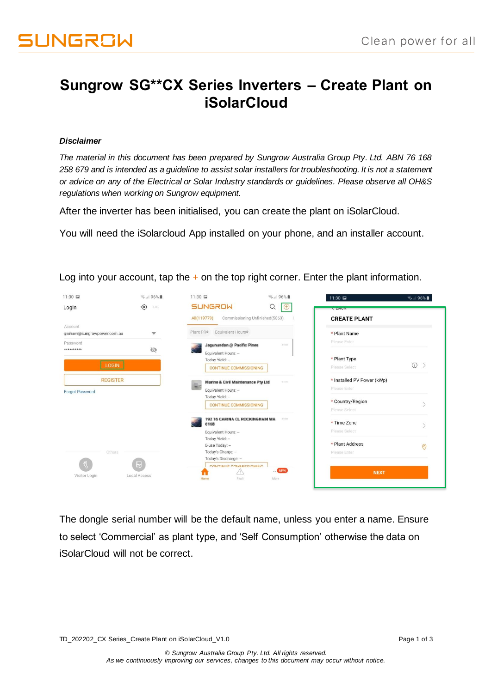## **Sungrow SG\*\*CX Series Inverters – Create Plant on iSolarCloud**

## *Disclaimer*

*The material in this document has been prepared by Sungrow Australia Group Pty. Ltd. ABN 76 168 258 679 and is intended as a guideline to assist solar installers for troubleshooting. It is not a statement or advice on any of the Electrical or Solar Industry standards or guidelines. Please observe all OH&S regulations when working on Sungrow equipment.*

After the inverter has been initialised, you can create the plant on iSolarCloud.

You will need the iSolarcloud App installed on your phone, and an installer account.

| 11:30 国                               | ● 196%■                 | 11:30 国                                                                                                      | ₹.』96%■                        | 11:30 国                                    | ₹ 96%■         |
|---------------------------------------|-------------------------|--------------------------------------------------------------------------------------------------------------|--------------------------------|--------------------------------------------|----------------|
| Login                                 | ⑬<br>                   | <b>SUNGROW</b>                                                                                               | $\alpha$<br>$\bigoplus$        | DALA                                       |                |
|                                       |                         | All(119779)                                                                                                  | Commissioning Unfinished(5863) | <b>CREATE PLANT</b>                        |                |
| Account<br>graham@sungrowpower.com.au | $\overline{\mathbf{v}}$ | Plant PR <sup>+</sup><br>Equivalent Hours <sup>*</sup>                                                       |                                | * Plant Name                               |                |
| Password                              |                         | Jagunundan @ Pacific Pines                                                                                   |                                | Please Enter                               |                |
| **********<br><b>LOGIN</b>            | Ø                       | Equivalent Hours: -<br>Today Yield: -                                                                        |                                | * Plant Type<br>Please Select              | $\odot$        |
| <b>REGISTER</b>                       |                         | <b>CONTINUE COMMISSIONING</b><br>Marine & Civil Maintenance Pty Ltd<br>m <sup>2</sup><br>Equivalent Hours: - |                                | * Installed PV Power (kWp)<br>Please Enter |                |
| <b>Forgot Password</b>                |                         | Today Yield: -<br><b>CONTINUE COMMISSIONING</b>                                                              |                                | * Country/Region<br>Please Select          |                |
|                                       |                         | 192 16 CARINA CL ROCKINGHAM WA<br>6168<br>Equivalent Hours: -                                                |                                | * Time Zone<br>Please Select               |                |
| Others                                |                         | Today Yield: -<br>E-use Today: -<br>Today's Charge: -                                                        |                                | * Plant Address<br>Please Enter            | $\circledcirc$ |
| Visitor Login                         | H<br>Local Access       | Today's Discharge: -<br>CONTINUE COMMISSIONING<br>$\langle i \rangle$<br>Fault<br>Home                       | NEW<br>More                    | <b>NEXT</b>                                |                |

Log into your account, tap the  $+$  on the top right corner. Enter the plant information.

The dongle serial number will be the default name, unless you enter a name. Ensure to select 'Commercial' as plant type, and 'Self Consumption' otherwise the data on iSolarCloud will not be correct.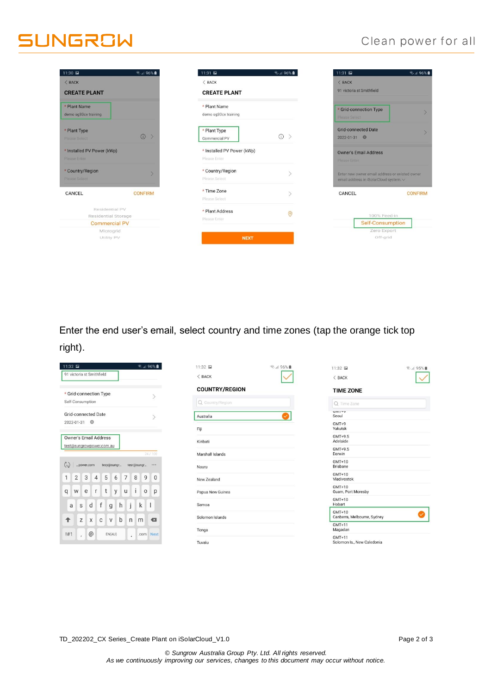## **SUNGROW**

## Clean power for all

| 11:30 国                                                       | <del>◎</del> …196%■      | 11:31 国                                    | 1880   1.17              | 11:31 国                                             | <b>जि.⊪ 96%</b>                                                                          |  |
|---------------------------------------------------------------|--------------------------|--------------------------------------------|--------------------------|-----------------------------------------------------|------------------------------------------------------------------------------------------|--|
| < BACK                                                        |                          | $<$ BACK                                   |                          | < BACK                                              |                                                                                          |  |
| <b>CREATE PLANT</b>                                           |                          | <b>CREATE PLANT</b>                        |                          | 91 victoria st Smithfield                           |                                                                                          |  |
| * Plant Name<br>demo sg30cx training                          |                          | * Plant Name<br>demo sg30cx training       |                          | * Grid-connection Type<br>Please Select             |                                                                                          |  |
| * Plant Type<br>Please Select                                 | $\rightarrow$<br>$\odot$ | * Plant Type<br>Commercial PV              | $\odot$<br>$\rightarrow$ | <b>Grid-connected Date</b><br>2022-01-31            |                                                                                          |  |
| * Installed PV Power (kWp)<br>Please Enter                    |                          | * Installed PV Power (kWp)<br>Please Enter |                          | <b>Owner's Email Address</b><br><b>Please Enter</b> |                                                                                          |  |
| * Country/Region<br>Please Select                             | s                        | * Country/Region<br>Please Select          |                          |                                                     | Enter new owner email address or existed owner<br>email address in iSolarCloud system. v |  |
| CANCEL                                                        | <b>CONFIRM</b>           | * Time Zone<br>Please Select               |                          | CANCEL                                              | <b>CONFIRM</b>                                                                           |  |
| Residential PV<br>Residential Storage<br><b>Commercial PV</b> |                          | * Plant Address<br>Please Enter            | $\odot$                  | 100% Feed-in<br>Self-Consumption                    |                                                                                          |  |
| Microgrid                                                     |                          |                                            |                          | Zero Export                                         |                                                                                          |  |
| Utility PV                                                    |                          | <b>NEXT</b>                                |                          | Off-grid                                            |                                                                                          |  |
|                                                               |                          |                                            |                          |                                                     |                                                                                          |  |

Enter the end user's email, select country and time zones (tap the orange tick top right).

| 11:32 国<br>● 36%                                                                                          | 11:32 国                     | ▼ 196%<br>11:32<br>▼ 195%■              |
|-----------------------------------------------------------------------------------------------------------|-----------------------------|-----------------------------------------|
| 91 victoria st Smithfield                                                                                 | $<$ BACK                    | < BACK                                  |
| * Grid-connection Type                                                                                    | <b>COUNTRY/REGION</b>       | <b>TIME ZONE</b>                        |
| Self-Consumption                                                                                          | Q Country/Region            | Q Time Zone                             |
| <b>Grid-connected Date</b>                                                                                | Australia                   | UIVILTY<br>Seoul                        |
| 2022-01-31                                                                                                | Fiji                        | $GMT+9$<br>Yakutsk                      |
| <b>Owner's Email Address</b>                                                                              | Kiribati                    | $GMT+9.5$<br>Adelaide                   |
| test@sungrowpower.com.au<br>24/100                                                                        | Marshall Islands            | $GMT+9.5$<br>Darwin                     |
| $\circlearrowright$<br>tesy@sungr<br>tesr@sungr<br><br>power.com                                          | Nauru                       | $GMT+10$<br>Brisbane                    |
| $\overline{2}$<br>$\mathbf{3}$<br>7 <sup>1</sup><br>$-5$<br>8<br>9<br>$\overline{4}$<br>6<br>$\mathbf{1}$ | $\mathbf{0}$<br>New Zealand | GMT+10<br>Vladivostok                   |
| $\mathbf{i}$<br>t<br>y  <br>$\circ$<br>p<br>W<br>e<br>$\mathsf{r}$<br>U<br>q                              | Papua New Guinea            | $GMT+10$<br>Guam, Port Moresby          |
| f<br>h<br>∣j.<br>$\mathsf{k}$<br>d<br>$\overline{1}$<br>g<br>a<br>$\mathsf S$                             | Samoa                       | GMT+10<br>Hobart                        |
| b<br>Z<br>X<br>$\mathbf{C}$<br>$\vee$<br>$\mathsf{n}$<br>$\leftarrow$<br>m<br>↟                           | Solomon Islands             | $GMT+10$<br>Canberra, Melbourne, Sydney |
|                                                                                                           | Tonga                       | $GMT+11$<br>Magadan                     |
| $@$<br>!#1<br>EN(AU)<br>Next<br>.com<br>ä.<br>$\mathbf{r}$                                                | Tuvalu                      | $GMT+11$<br>Solomon Is., New Caledonia  |

TD\_202202\_CX Series\_Create Plant on iSolarCloud\_V1.0 Page 2 of 3